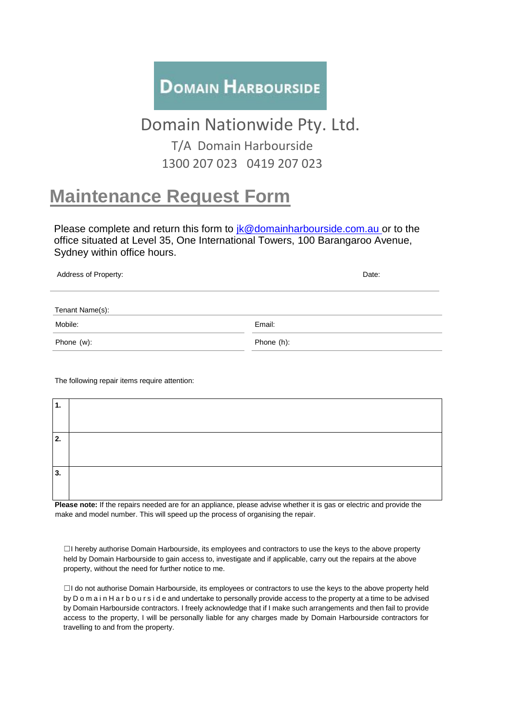## **DOMAIN HARBOURSIDE**

## Domain Nationwide Pty. Ltd.

T/A Domain Harbourside 1300 207 023 0419 207 023

## **Maintenance Request Form**

Please complete and return this form to  $ik@domainharbourside.com.au$  or to the office situated at Level 35, One International Towers, 100 Barangaroo Avenue, Sydney within office hours.

| Address of Property: | Date:      |
|----------------------|------------|
|                      |            |
| Tenant Name(s):      |            |
| Mobile:              | Email:     |
| Phone (w):           | Phone (h): |
|                      |            |

The following repair items require attention:

| $\overline{1}$ . |  |
|------------------|--|
|                  |  |
| 2.               |  |
|                  |  |
| 3.               |  |
|                  |  |

**Please note:** If the repairs needed are for an appliance, please advise whether it is gas or electric and provide the make and model number. This will speed up the process of organising the repair.

☐I hereby authorise Domain Harbourside, its employees and contractors to use the keys to the above property held by Domain Harbourside to gain access to, investigate and if applicable, carry out the repairs at the above property, without the need for further notice to me.

☐I do not authorise Domain Harbourside, its employees or contractors to use the keys to the above property held by D o m a i n H a r b o u r s i d e and undertake to personally provide access to the property at a time to be advised by Domain Harbourside contractors. I freely acknowledge that if I make such arrangements and then fail to provide access to the property, I will be personally liable for any charges made by Domain Harbourside contractors for travelling to and from the property.